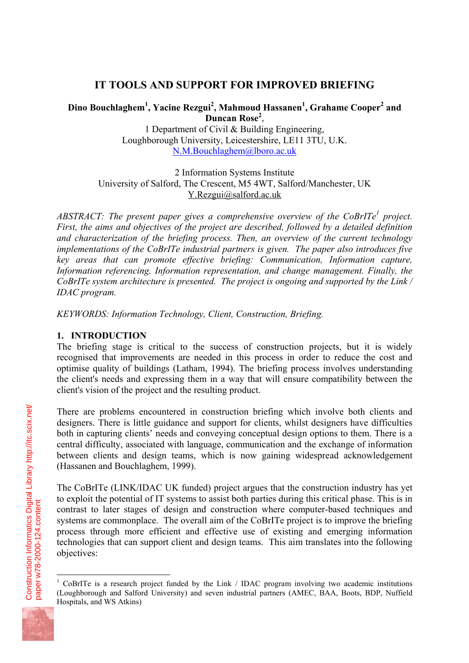# **IT TOOLS AND SUPPORT FOR IMPROVED BRIEFING**

# **Dino Bouchlaghem<sup>1</sup> , Yacine Rezgui<sup>2</sup> , Mahmoud Hassanen<sup>1</sup> , Grahame Cooper<sup>2</sup> and Duncan Rose<sup>2</sup>** ,

1 Department of Civil & Building Engineering, Loughborough University, Leicestershire, LE11 3TU, U.K. N.M.Bouchlaghem@lboro.ac.uk

2 Information Systems Institute University of Salford, The Crescent, M5 4WT, Salford/Manchester, UK Y.Rezgui@salford.ac.uk

*ABSTRACT: The present paper gives a comprehensive overview of the CoBrITe<sup>1</sup> project. First, the aims and objectives of the project are described, followed by a detailed definition and characterization of the briefing process. Then, an overview of the current technology implementations of the CoBrITe industrial partners is given. The paper also introduces five key areas that can promote effective briefing: Communication, Information capture, Information referencing, Information representation, and change management. Finally, the CoBrITe system architecture is presented. The project is ongoing and supported by the Link / IDAC program.* 

*KEYWORDS: Information Technology, Client, Construction, Briefing.* 

## **1. INTRODUCTION**

The briefing stage is critical to the success of construction projects, but it is widely recognised that improvements are needed in this process in order to reduce the cost and optimise quality of buildings (Latham, 1994). The briefing process involves understanding the client's needs and expressing them in a way that will ensure compatibility between the client's vision of the project and the resulting product.

There are problems encountered in construction briefing which involve both clients and designers. There is little guidance and support for clients, whilst designers have difficulties both in capturing clients' needs and conveying conceptual design options to them. There is a central difficulty, associated with language, communication and the exchange of information between clients and design teams, which is now gaining widespread acknowledgement (Hassanen and Bouchlaghem, 1999).

The CoBrITe (LINK/IDAC UK funded) project argues that the construction industry has yet to exploit the potential of IT systems to assist both parties during this critical phase. This is in contrast to later stages of design and construction where computer-based techniques and systems are commonplace. The overall aim of the CoBrITe project is to improve the briefing process through more efficient and effective use of existing and emerging information technologies that can support client and design teams. This aim translates into the following objectives:



 $\overline{a}$ 

<sup>&</sup>lt;sup>1</sup> CoBrITe is a research project funded by the Link / IDAC program involving two academic institutions (Loughborough and Salford University) and seven industrial partners (AMEC, BAA, Boots, BDP, Nuffield Hospitals, and WS Atkins)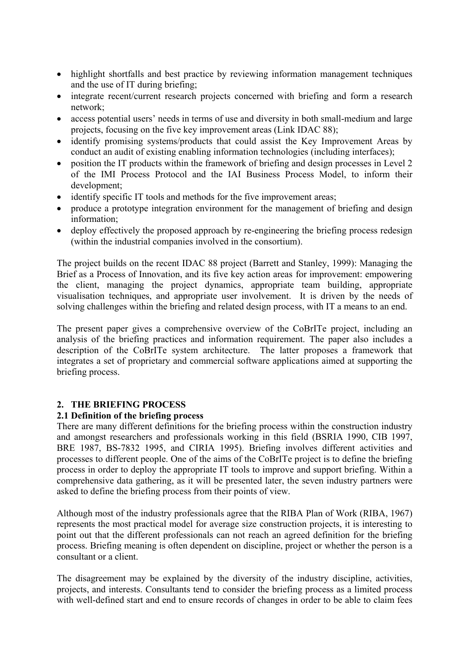- highlight shortfalls and best practice by reviewing information management techniques and the use of IT during briefing;
- integrate recent/current research projects concerned with briefing and form a research network;
- access potential users' needs in terms of use and diversity in both small-medium and large projects, focusing on the five key improvement areas (Link IDAC 88);
- identify promising systems/products that could assist the Key Improvement Areas by conduct an audit of existing enabling information technologies (including interfaces);
- position the IT products within the framework of briefing and design processes in Level 2 of the IMI Process Protocol and the IAI Business Process Model, to inform their development;
- identify specific IT tools and methods for the five improvement areas;
- produce a prototype integration environment for the management of briefing and design information;
- deploy effectively the proposed approach by re-engineering the briefing process redesign (within the industrial companies involved in the consortium).

The project builds on the recent IDAC 88 project (Barrett and Stanley, 1999): Managing the Brief as a Process of Innovation, and its five key action areas for improvement: empowering the client, managing the project dynamics, appropriate team building, appropriate visualisation techniques, and appropriate user involvement. It is driven by the needs of solving challenges within the briefing and related design process, with IT a means to an end.

The present paper gives a comprehensive overview of the CoBrITe project, including an analysis of the briefing practices and information requirement. The paper also includes a description of the CoBrITe system architecture. The latter proposes a framework that integrates a set of proprietary and commercial software applications aimed at supporting the briefing process.

## **2. THE BRIEFING PROCESS**

## **2.1 Definition of the briefing process**

There are many different definitions for the briefing process within the construction industry and amongst researchers and professionals working in this field (BSRIA 1990, CIB 1997, BRE 1987, BS-7832 1995, and CIRIA 1995). Briefing involves different activities and processes to different people. One of the aims of the CoBrITe project is to define the briefing process in order to deploy the appropriate IT tools to improve and support briefing. Within a comprehensive data gathering, as it will be presented later, the seven industry partners were asked to define the briefing process from their points of view.

Although most of the industry professionals agree that the RIBA Plan of Work (RIBA, 1967) represents the most practical model for average size construction projects, it is interesting to point out that the different professionals can not reach an agreed definition for the briefing process. Briefing meaning is often dependent on discipline, project or whether the person is a consultant or a client.

The disagreement may be explained by the diversity of the industry discipline, activities, projects, and interests. Consultants tend to consider the briefing process as a limited process with well-defined start and end to ensure records of changes in order to be able to claim fees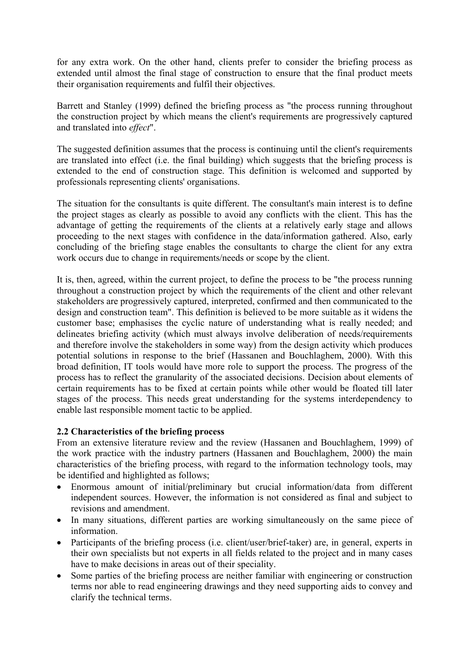for any extra work. On the other hand, clients prefer to consider the briefing process as extended until almost the final stage of construction to ensure that the final product meets their organisation requirements and fulfil their objectives.

Barrett and Stanley (1999) defined the briefing process as "the process running throughout the construction project by which means the client's requirements are progressively captured and translated into *effect*".

The suggested definition assumes that the process is continuing until the client's requirements are translated into effect (i.e. the final building) which suggests that the briefing process is extended to the end of construction stage. This definition is welcomed and supported by professionals representing clients' organisations.

The situation for the consultants is quite different. The consultant's main interest is to define the project stages as clearly as possible to avoid any conflicts with the client. This has the advantage of getting the requirements of the clients at a relatively early stage and allows proceeding to the next stages with confidence in the data/information gathered. Also, early concluding of the briefing stage enables the consultants to charge the client for any extra work occurs due to change in requirements/needs or scope by the client.

It is, then, agreed, within the current project, to define the process to be "the process running throughout a construction project by which the requirements of the client and other relevant stakeholders are progressively captured, interpreted, confirmed and then communicated to the design and construction team". This definition is believed to be more suitable as it widens the customer base; emphasises the cyclic nature of understanding what is really needed; and delineates briefing activity (which must always involve deliberation of needs/requirements and therefore involve the stakeholders in some way) from the design activity which produces potential solutions in response to the brief (Hassanen and Bouchlaghem, 2000). With this broad definition, IT tools would have more role to support the process. The progress of the process has to reflect the granularity of the associated decisions. Decision about elements of certain requirements has to be fixed at certain points while other would be floated till later stages of the process. This needs great understanding for the systems interdependency to enable last responsible moment tactic to be applied.

## **2.2 Characteristics of the briefing process**

From an extensive literature review and the review (Hassanen and Bouchlaghem, 1999) of the work practice with the industry partners (Hassanen and Bouchlaghem, 2000) the main characteristics of the briefing process, with regard to the information technology tools, may be identified and highlighted as follows;

- Enormous amount of initial/preliminary but crucial information/data from different independent sources. However, the information is not considered as final and subject to revisions and amendment.
- In many situations, different parties are working simultaneously on the same piece of information.
- Participants of the briefing process (i.e. client/user/brief-taker) are, in general, experts in their own specialists but not experts in all fields related to the project and in many cases have to make decisions in areas out of their speciality.
- Some parties of the briefing process are neither familiar with engineering or construction terms nor able to read engineering drawings and they need supporting aids to convey and clarify the technical terms.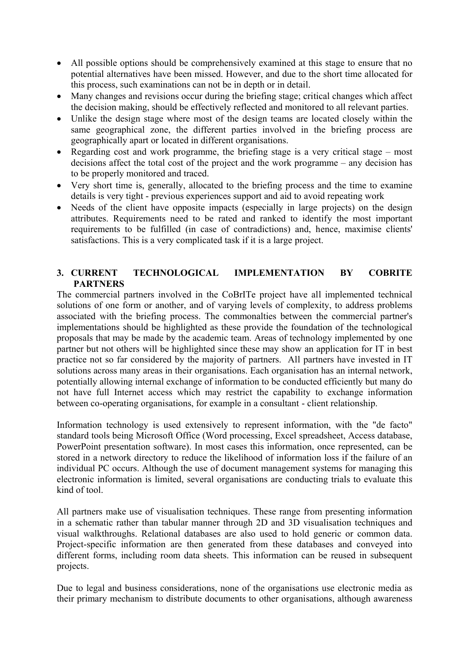- All possible options should be comprehensively examined at this stage to ensure that no potential alternatives have been missed. However, and due to the short time allocated for this process, such examinations can not be in depth or in detail.
- Many changes and revisions occur during the briefing stage; critical changes which affect the decision making, should be effectively reflected and monitored to all relevant parties.
- Unlike the design stage where most of the design teams are located closely within the same geographical zone, the different parties involved in the briefing process are geographically apart or located in different organisations.
- Regarding cost and work programme, the briefing stage is a very critical stage most decisions affect the total cost of the project and the work programme – any decision has to be properly monitored and traced.
- Very short time is, generally, allocated to the briefing process and the time to examine details is very tight - previous experiences support and aid to avoid repeating work
- Needs of the client have opposite impacts (especially in large projects) on the design attributes. Requirements need to be rated and ranked to identify the most important requirements to be fulfilled (in case of contradictions) and, hence, maximise clients' satisfactions. This is a very complicated task if it is a large project.

## **3. CURRENT TECHNOLOGICAL IMPLEMENTATION BY COBRITE PARTNERS**

The commercial partners involved in the CoBrITe project have all implemented technical solutions of one form or another, and of varying levels of complexity, to address problems associated with the briefing process. The commonalties between the commercial partner's implementations should be highlighted as these provide the foundation of the technological proposals that may be made by the academic team. Areas of technology implemented by one partner but not others will be highlighted since these may show an application for IT in best practice not so far considered by the majority of partners. All partners have invested in IT solutions across many areas in their organisations. Each organisation has an internal network, potentially allowing internal exchange of information to be conducted efficiently but many do not have full Internet access which may restrict the capability to exchange information between co-operating organisations, for example in a consultant - client relationship.

Information technology is used extensively to represent information, with the "de facto" standard tools being Microsoft Office (Word processing, Excel spreadsheet, Access database, PowerPoint presentation software). In most cases this information, once represented, can be stored in a network directory to reduce the likelihood of information loss if the failure of an individual PC occurs. Although the use of document management systems for managing this electronic information is limited, several organisations are conducting trials to evaluate this kind of tool.

All partners make use of visualisation techniques. These range from presenting information in a schematic rather than tabular manner through 2D and 3D visualisation techniques and visual walkthroughs. Relational databases are also used to hold generic or common data. Project-specific information are then generated from these databases and conveyed into different forms, including room data sheets. This information can be reused in subsequent projects.

Due to legal and business considerations, none of the organisations use electronic media as their primary mechanism to distribute documents to other organisations, although awareness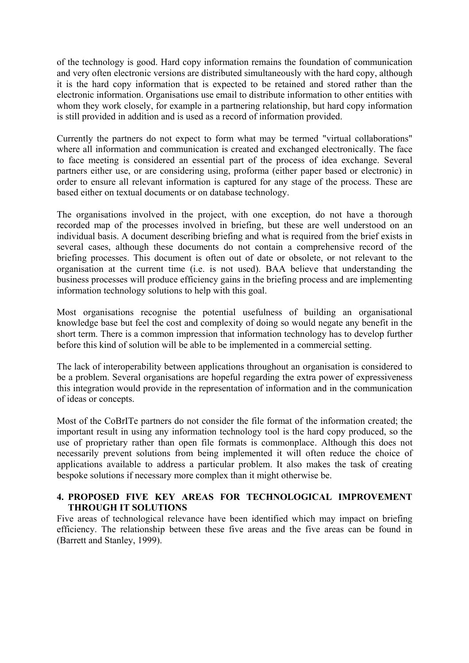of the technology is good. Hard copy information remains the foundation of communication and very often electronic versions are distributed simultaneously with the hard copy, although it is the hard copy information that is expected to be retained and stored rather than the electronic information. Organisations use email to distribute information to other entities with whom they work closely, for example in a partnering relationship, but hard copy information is still provided in addition and is used as a record of information provided.

Currently the partners do not expect to form what may be termed "virtual collaborations" where all information and communication is created and exchanged electronically. The face to face meeting is considered an essential part of the process of idea exchange. Several partners either use, or are considering using, proforma (either paper based or electronic) in order to ensure all relevant information is captured for any stage of the process. These are based either on textual documents or on database technology.

The organisations involved in the project, with one exception, do not have a thorough recorded map of the processes involved in briefing, but these are well understood on an individual basis. A document describing briefing and what is required from the brief exists in several cases, although these documents do not contain a comprehensive record of the briefing processes. This document is often out of date or obsolete, or not relevant to the organisation at the current time (i.e. is not used). BAA believe that understanding the business processes will produce efficiency gains in the briefing process and are implementing information technology solutions to help with this goal.

Most organisations recognise the potential usefulness of building an organisational knowledge base but feel the cost and complexity of doing so would negate any benefit in the short term. There is a common impression that information technology has to develop further before this kind of solution will be able to be implemented in a commercial setting.

The lack of interoperability between applications throughout an organisation is considered to be a problem. Several organisations are hopeful regarding the extra power of expressiveness this integration would provide in the representation of information and in the communication of ideas or concepts.

Most of the CoBrITe partners do not consider the file format of the information created; the important result in using any information technology tool is the hard copy produced, so the use of proprietary rather than open file formats is commonplace. Although this does not necessarily prevent solutions from being implemented it will often reduce the choice of applications available to address a particular problem. It also makes the task of creating bespoke solutions if necessary more complex than it might otherwise be.

#### **4. PROPOSED FIVE KEY AREAS FOR TECHNOLOGICAL IMPROVEMENT THROUGH IT SOLUTIONS**

Five areas of technological relevance have been identified which may impact on briefing efficiency. The relationship between these five areas and the five areas can be found in (Barrett and Stanley, 1999).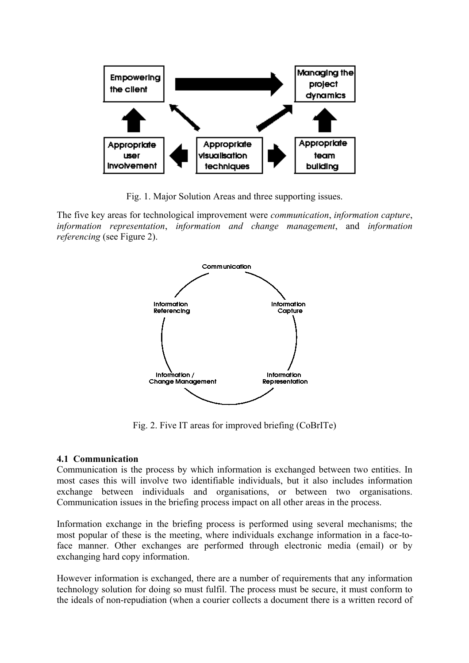

Fig. 1. Major Solution Areas and three supporting issues.

The five key areas for technological improvement were *communication*, *information capture*, *information representation*, *information and change management*, and *information referencing* (see Figure 2).



Fig. 2. Five IT areas for improved briefing (CoBrITe)

## **4.1 Communication**

Communication is the process by which information is exchanged between two entities. In most cases this will involve two identifiable individuals, but it also includes information exchange between individuals and organisations, or between two organisations. Communication issues in the briefing process impact on all other areas in the process.

Information exchange in the briefing process is performed using several mechanisms; the most popular of these is the meeting, where individuals exchange information in a face-toface manner. Other exchanges are performed through electronic media (email) or by exchanging hard copy information.

However information is exchanged, there are a number of requirements that any information technology solution for doing so must fulfil. The process must be secure, it must conform to the ideals of non-repudiation (when a courier collects a document there is a written record of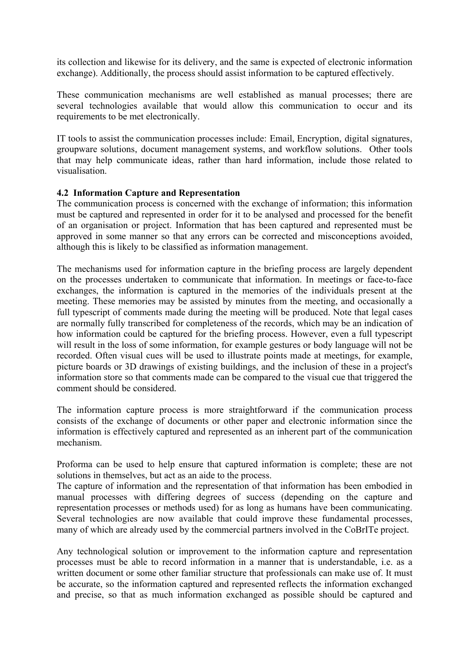its collection and likewise for its delivery, and the same is expected of electronic information exchange). Additionally, the process should assist information to be captured effectively.

These communication mechanisms are well established as manual processes; there are several technologies available that would allow this communication to occur and its requirements to be met electronically.

IT tools to assist the communication processes include: Email, Encryption, digital signatures, groupware solutions, document management systems, and workflow solutions. Other tools that may help communicate ideas, rather than hard information, include those related to visualisation.

#### **4.2 Information Capture and Representation**

The communication process is concerned with the exchange of information; this information must be captured and represented in order for it to be analysed and processed for the benefit of an organisation or project. Information that has been captured and represented must be approved in some manner so that any errors can be corrected and misconceptions avoided, although this is likely to be classified as information management.

The mechanisms used for information capture in the briefing process are largely dependent on the processes undertaken to communicate that information. In meetings or face-to-face exchanges, the information is captured in the memories of the individuals present at the meeting. These memories may be assisted by minutes from the meeting, and occasionally a full typescript of comments made during the meeting will be produced. Note that legal cases are normally fully transcribed for completeness of the records, which may be an indication of how information could be captured for the briefing process. However, even a full typescript will result in the loss of some information, for example gestures or body language will not be recorded. Often visual cues will be used to illustrate points made at meetings, for example, picture boards or 3D drawings of existing buildings, and the inclusion of these in a project's information store so that comments made can be compared to the visual cue that triggered the comment should be considered.

The information capture process is more straightforward if the communication process consists of the exchange of documents or other paper and electronic information since the information is effectively captured and represented as an inherent part of the communication mechanism.

Proforma can be used to help ensure that captured information is complete; these are not solutions in themselves, but act as an aide to the process.

The capture of information and the representation of that information has been embodied in manual processes with differing degrees of success (depending on the capture and representation processes or methods used) for as long as humans have been communicating. Several technologies are now available that could improve these fundamental processes, many of which are already used by the commercial partners involved in the CoBrITe project.

Any technological solution or improvement to the information capture and representation processes must be able to record information in a manner that is understandable, i.e. as a written document or some other familiar structure that professionals can make use of. It must be accurate, so the information captured and represented reflects the information exchanged and precise, so that as much information exchanged as possible should be captured and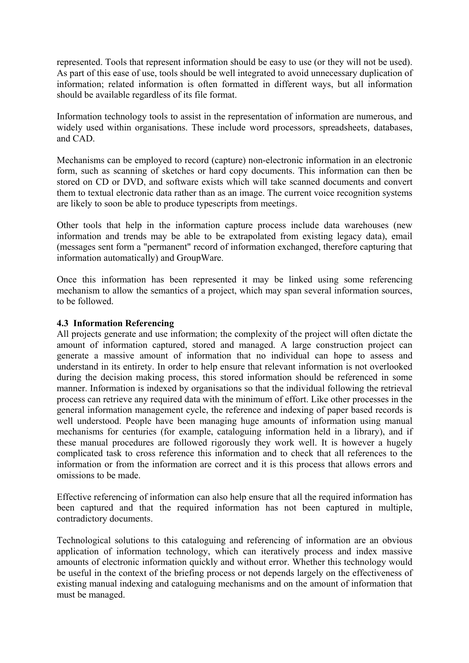represented. Tools that represent information should be easy to use (or they will not be used). As part of this ease of use, tools should be well integrated to avoid unnecessary duplication of information; related information is often formatted in different ways, but all information should be available regardless of its file format.

Information technology tools to assist in the representation of information are numerous, and widely used within organisations. These include word processors, spreadsheets, databases, and CAD.

Mechanisms can be employed to record (capture) non-electronic information in an electronic form, such as scanning of sketches or hard copy documents. This information can then be stored on CD or DVD, and software exists which will take scanned documents and convert them to textual electronic data rather than as an image. The current voice recognition systems are likely to soon be able to produce typescripts from meetings.

Other tools that help in the information capture process include data warehouses (new information and trends may be able to be extrapolated from existing legacy data), email (messages sent form a "permanent" record of information exchanged, therefore capturing that information automatically) and GroupWare.

Once this information has been represented it may be linked using some referencing mechanism to allow the semantics of a project, which may span several information sources, to be followed.

#### **4.3 Information Referencing**

All projects generate and use information; the complexity of the project will often dictate the amount of information captured, stored and managed. A large construction project can generate a massive amount of information that no individual can hope to assess and understand in its entirety. In order to help ensure that relevant information is not overlooked during the decision making process, this stored information should be referenced in some manner. Information is indexed by organisations so that the individual following the retrieval process can retrieve any required data with the minimum of effort. Like other processes in the general information management cycle, the reference and indexing of paper based records is well understood. People have been managing huge amounts of information using manual mechanisms for centuries (for example, cataloguing information held in a library), and if these manual procedures are followed rigorously they work well. It is however a hugely complicated task to cross reference this information and to check that all references to the information or from the information are correct and it is this process that allows errors and omissions to be made.

Effective referencing of information can also help ensure that all the required information has been captured and that the required information has not been captured in multiple, contradictory documents.

Technological solutions to this cataloguing and referencing of information are an obvious application of information technology, which can iteratively process and index massive amounts of electronic information quickly and without error. Whether this technology would be useful in the context of the briefing process or not depends largely on the effectiveness of existing manual indexing and cataloguing mechanisms and on the amount of information that must be managed.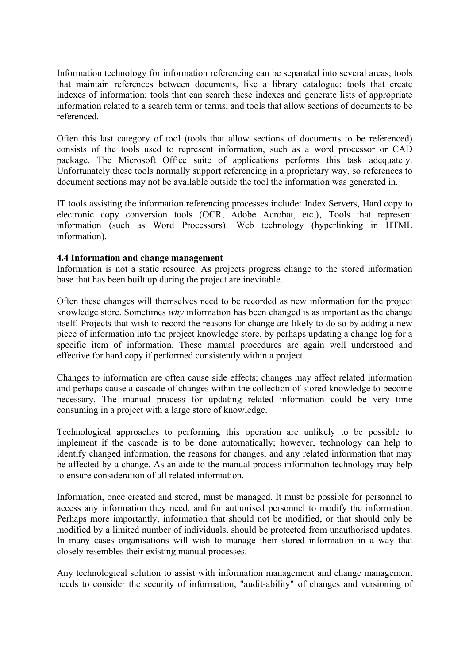Information technology for information referencing can be separated into several areas; tools that maintain references between documents, like a library catalogue; tools that create indexes of information; tools that can search these indexes and generate lists of appropriate information related to a search term or terms; and tools that allow sections of documents to be referenced.

Often this last category of tool (tools that allow sections of documents to be referenced) consists of the tools used to represent information, such as a word processor or CAD package. The Microsoft Office suite of applications performs this task adequately. Unfortunately these tools normally support referencing in a proprietary way, so references to document sections may not be available outside the tool the information was generated in.

IT tools assisting the information referencing processes include: Index Servers, Hard copy to electronic copy conversion tools (OCR, Adobe Acrobat, etc.), Tools that represent information (such as Word Processors), Web technology (hyperlinking in HTML information).

#### **4.4 Information and change management**

Information is not a static resource. As projects progress change to the stored information base that has been built up during the project are inevitable.

Often these changes will themselves need to be recorded as new information for the project knowledge store. Sometimes *why* information has been changed is as important as the change itself. Projects that wish to record the reasons for change are likely to do so by adding a new piece of information into the project knowledge store, by perhaps updating a change log for a specific item of information. These manual procedures are again well understood and effective for hard copy if performed consistently within a project.

Changes to information are often cause side effects; changes may affect related information and perhaps cause a cascade of changes within the collection of stored knowledge to become necessary. The manual process for updating related information could be very time consuming in a project with a large store of knowledge.

Technological approaches to performing this operation are unlikely to be possible to implement if the cascade is to be done automatically; however, technology can help to identify changed information, the reasons for changes, and any related information that may be affected by a change. As an aide to the manual process information technology may help to ensure consideration of all related information.

Information, once created and stored, must be managed. It must be possible for personnel to access any information they need, and for authorised personnel to modify the information. Perhaps more importantly, information that should not be modified, or that should only be modified by a limited number of individuals, should be protected from unauthorised updates. In many cases organisations will wish to manage their stored information in a way that closely resembles their existing manual processes.

Any technological solution to assist with information management and change management needs to consider the security of information, "audit-ability" of changes and versioning of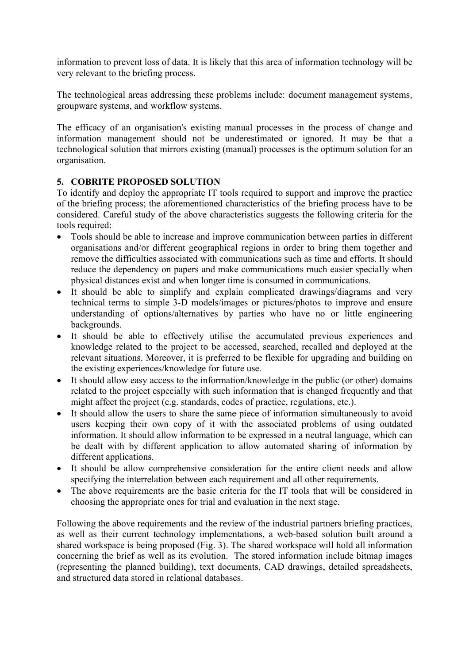information to prevent loss of data. It is likely that this area of information technology will be very relevant to the briefing process.

The technological areas addressing these problems include: document management systems, groupware systems, and workflow systems.

The efficacy of an organisation's existing manual processes in the process of change and information management should not be underestimated or ignored. It may be that a technological solution that mirrors existing (manual) processes is the optimum solution for an organisation.

## **5. COBRITE PROPOSED SOLUTION**

To identify and deploy the appropriate IT tools required to support and improve the practice of the briefing process; the aforementioned characteristics of the briefing process have to be considered. Careful study of the above characteristics suggests the following criteria for the tools required:

- Tools should be able to increase and improve communication between parties in different organisations and/or different geographical regions in order to bring them together and remove the difficulties associated with communications such as time and efforts. It should reduce the dependency on papers and make communications much easier specially when physical distances exist and when longer time is consumed in communications.
- It should be able to simplify and explain complicated drawings/diagrams and very technical terms to simple 3-D models/images or pictures/photos to improve and ensure understanding of options/alternatives by parties who have no or little engineering backgrounds.
- It should be able to effectively utilise the accumulated previous experiences and knowledge related to the project to be accessed, searched, recalled and deployed at the relevant situations. Moreover, it is preferred to be flexible for upgrading and building on the existing experiences/knowledge for future use.
- It should allow easy access to the information/knowledge in the public (or other) domains related to the project especially with such information that is changed frequently and that might affect the project (e.g. standards, codes of practice, regulations, etc.).
- It should allow the users to share the same piece of information simultaneously to avoid users keeping their own copy of it with the associated problems of using outdated information. It should allow information to be expressed in a neutral language, which can be dealt with by different application to allow automated sharing of information by different applications.
- It should be allow comprehensive consideration for the entire client needs and allow specifying the interrelation between each requirement and all other requirements.
- The above requirements are the basic criteria for the IT tools that will be considered in choosing the appropriate ones for trial and evaluation in the next stage.

Following the above requirements and the review of the industrial partners briefing practices, as well as their current technology implementations, a web-based solution built around a shared workspace is being proposed (Fig. 3). The shared workspace will hold all information concerning the brief as well as its evolution. The stored information include bitmap images (representing the planned building), text documents, CAD drawings, detailed spreadsheets, and structured data stored in relational databases.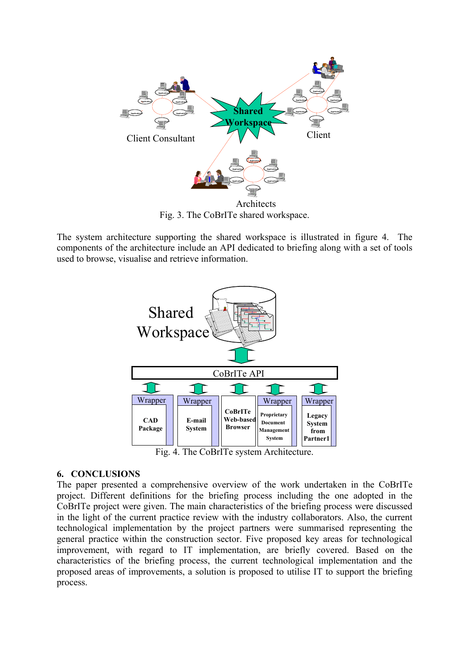

Fig. 3. The CoBrITe shared workspace.

The system architecture supporting the shared workspace is illustrated in figure 4. The components of the architecture include an API dedicated to briefing along with a set of tools used to browse, visualise and retrieve information.



Fig. 4. The CoBrITe system Architecture.

## **6. CONCLUSIONS**

The paper presented a comprehensive overview of the work undertaken in the CoBrITe project. Different definitions for the briefing process including the one adopted in the CoBrITe project were given. The main characteristics of the briefing process were discussed in the light of the current practice review with the industry collaborators. Also, the current technological implementation by the project partners were summarised representing the general practice within the construction sector. Five proposed key areas for technological improvement, with regard to IT implementation, are briefly covered. Based on the characteristics of the briefing process, the current technological implementation and the proposed areas of improvements, a solution is proposed to utilise IT to support the briefing process.